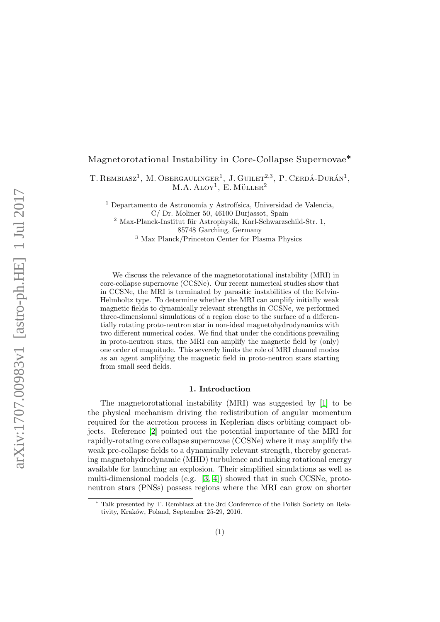# Magnetorotational Instability in Core-Collapse Supernovae<sup>\*</sup>

T. REMBIASZ<sup>1</sup>, M. OBERGAULINGER<sup>1</sup>, J. GUILET<sup>2,3</sup>, P. CERDÁ-DURÁN<sup>1</sup>,  $M.A. ALOY<sup>1</sup>, E. MÜLLER<sup>2</sup>$ 

<sup>1</sup> Departamento de Astronomía y Astrofísica, Universidad de Valencia,

C/ Dr. Moliner 50, 46100 Burjassot, Spain  $2$  Max-Planck-Institut für Astrophysik, Karl-Schwarzschild-Str. 1, 85748 Garching, Germany

<sup>3</sup> Max Planck/Princeton Center for Plasma Physics

We discuss the relevance of the magnetorotational instability (MRI) in core-collapse supernovae (CCSNe). Our recent numerical studies show that in CCSNe, the MRI is terminated by parasitic instabilities of the Kelvin-Helmholtz type. To determine whether the MRI can amplify initially weak magnetic fields to dynamically relevant strengths in CCSNe, we performed three-dimensional simulations of a region close to the surface of a differentially rotating proto-neutron star in non-ideal magnetohydrodynamics with two different numerical codes. We find that under the conditions prevailing in proto-neutron stars, the MRI can amplify the magnetic field by (only) one order of magnitude. This severely limits the role of MRI channel modes as an agent amplifying the magnetic field in proto-neutron stars starting from small seed fields.

#### 1. Introduction

The magnetorotational instability (MRI) was suggested by [\[1\]](#page-3-0) to be the physical mechanism driving the redistribution of angular momentum required for the accretion process in Keplerian discs orbiting compact objects. Reference [\[2\]](#page-3-1) pointed out the potential importance of the MRI for rapidly-rotating core collapse supernovae (CCSNe) where it may amplify the weak pre-collapse fields to a dynamically relevant strength, thereby generating magnetohydrodynamic (MHD) turbulence and making rotational energy available for launching an explosion. Their simplified simulations as well as multi-dimensional models (e.g.  $[3, 4]$  $[3, 4]$ ) showed that in such CCSNe, protoneutron stars (PNSs) possess regions where the MRI can grow on shorter

Talk presented by T. Rembiasz at the 3rd Conference of the Polish Society on Relativity, Kraków, Poland, September 25-29, 2016.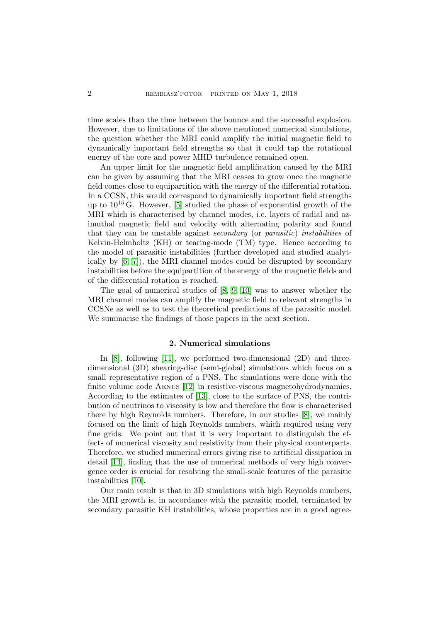time scales than the time between the bounce and the successful explosion. However, due to limitations of the above mentioned numerical simulations, the question whether the MRI could amplify the initial magnetic field to dynamically important field strengths so that it could tap the rotational energy of the core and power MHD turbulence remained open.

An upper limit for the magnetic field amplification caused by the MRI can be given by assuming that the MRI ceases to grow once the magnetic field comes close to equipartition with the energy of the differential rotation. In a CCSN, this would correspond to dynamically important field strengths up to  $10^{15}$  G. However, [\[5\]](#page-3-4) studied the phase of exponential growth of the MRI which is characterised by channel modes, i.e. layers of radial and azimuthal magnetic field and velocity with alternating polarity and found that they can be unstable against *secondary* (or *parasitic*) instabilities of Kelvin-Helmholtz (KH) or tearing-mode (TM) type. Hence according to the model of parasitic instabilities (further developed and studied analytically by [\[6,](#page-3-5) [7\]](#page-3-6)), the MRI channel modes could be disrupted by secondary instabilities before the equipartition of the energy of the magnetic fields and of the differential rotation is reached.

The goal of numerical studies of [\[8,](#page-3-7) [9,](#page-3-8) [10\]](#page-3-9) was to answer whether the MRI channel modes can amplify the magnetic field to relavant strengths in CCSNe as well as to test the theoretical predictions of the parasitic model. We summarise the findings of those papers in the next section.

## 2. Numerical simulations

In [\[8\]](#page-3-7), following [\[11\]](#page-3-10), we performed two-dimensional (2D) and threedimensional (3D) shearing-disc (semi-global) simulations which focus on a small representative region of a PNS. The simulations were done with the finite volume code Aenus [\[12\]](#page-3-11) in resistive-viscous magnetohydrodynamics. According to the estimates of [\[13\]](#page-3-12), close to the surface of PNS, the contribution of neutrinos to viscosity is low and therefore the flow is characterised there by high Reynolds numbers. Therefore, in our studies [\[8\]](#page-3-7), we mainly focused on the limit of high Reynolds numbers, which required using very fine grids. We point out that it is very important to distinguish the effects of numerical viscosity and resistivity from their physical counterparts. Therefore, we studied numerical errors giving rise to artificial dissipation in detail [\[14\]](#page-3-13), finding that the use of numerical methods of very high convergence order is crucial for resolving the small-scale features of the parasitic instabilities [\[10\]](#page-3-9).

Our main result is that in 3D simulations with high Reynolds numbers, the MRI growth is, in accordance with the parasitic model, terminated by secondary parasitic KH instabilities, whose properties are in a good agree-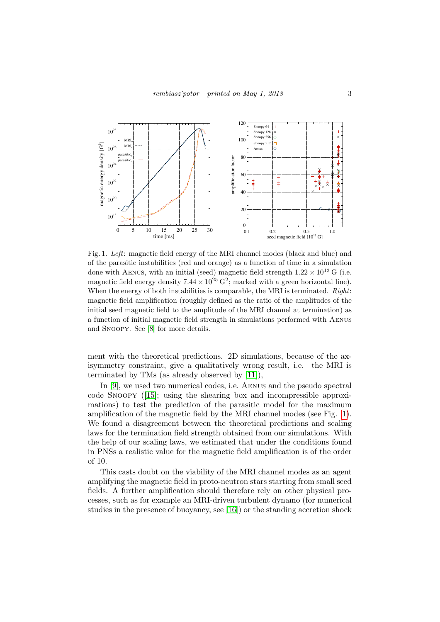

<span id="page-2-0"></span>Fig. 1. Left: magnetic field energy of the MRI channel modes (black and blue) and of the parasitic instabilities (red and orange) as a function of time in a simulation done with AENUS, with an initial (seed) magnetic field strength  $1.22 \times 10^{13}$  G (i.e. magnetic field energy density  $7.44 \times 10^{25}$  G<sup>2</sup>; marked with a green horizontal line). When the energy of both instabilities is comparable, the MRI is terminated. Right: magnetic field amplification (roughly defined as the ratio of the amplitudes of the initial seed magnetic field to the amplitude of the MRI channel at termination) as a function of initial magnetic field strength in simulations performed with Aenus and Snoopy. See [\[8\]](#page-3-7) for more details.

ment with the theoretical predictions. 2D simulations, because of the axisymmetry constraint, give a qualitatively wrong result, i.e. the MRI is terminated by TMs (as already observed by [\[11\]](#page-3-10)),

In [\[9\]](#page-3-8), we used two numerical codes, i.e. Aenus and the pseudo spectral code Snoopy ([\[15\]](#page-3-14); using the shearing box and incompressible approximations) to test the prediction of the parasitic model for the maximum amplification of the magnetic field by the MRI channel modes (see Fig. [1\)](#page-2-0). We found a disagreement between the theoretical predictions and scaling laws for the termination field strength obtained from our simulations. With the help of our scaling laws, we estimated that under the conditions found in PNSs a realistic value for the magnetic field amplification is of the order of 10.

This casts doubt on the viability of the MRI channel modes as an agent amplifying the magnetic field in proto-neutron stars starting from small seed fields. A further amplification should therefore rely on other physical processes, such as for example an MRI-driven turbulent dynamo (for numerical studies in the presence of buoyancy, see [\[16\]](#page-3-15)) or the standing accretion shock